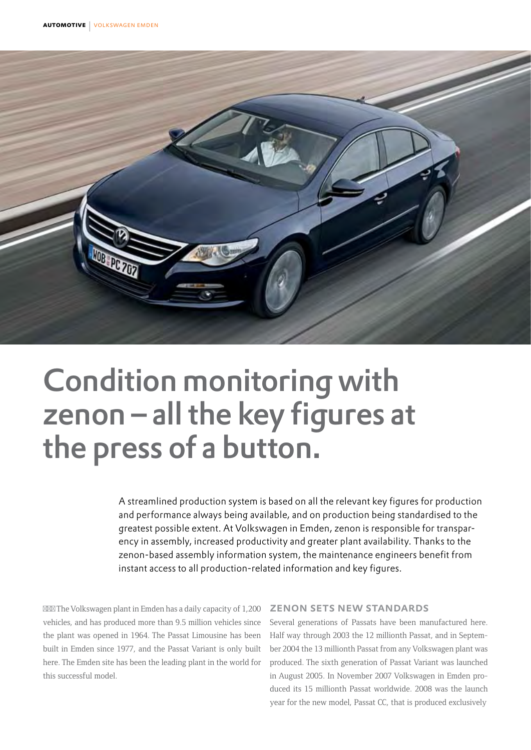

# Condition monitoring with zenon – all the key figures at the press of a button.

A streamlined production system is based on all the relevant key figures for production and performance always being available, and on production being standardised to the greatest possible extent. At Volkswagen in Emden, zenon is responsible for transparency in assembly, increased productivity and greater plant availability. Thanks to the zenon-based assembly information system, the maintenance engineers benefit from instant access to all production-related information and key figures.

The Volkswagen plant in Emden has a daily capacity of 1,200 vehicles, and has produced more than 9.5 million vehicles since the plant was opened in 1964. The Passat Limousine has been built in Emden since 1977, and the Passat Variant is only built here. The Emden site has been the leading plant in the world for this successful model.

## zenon sets new standards

Several generations of Passats have been manufactured here. Half way through 2003 the 12 millionth Passat, and in September 2004 the 13 millionth Passat from any Volkswagen plant was produced. The sixth generation of Passat Variant was launched in August 2005. In November 2007 Volkswagen in Emden produced its 15 millionth Passat worldwide. 2008 was the launch year for the new model, Passat CC, that is produced exclusively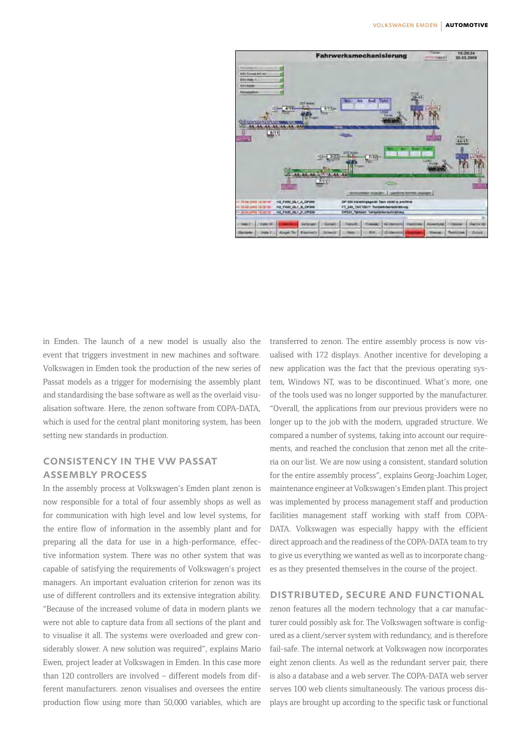

in Emden. The launch of a new model is usually also the event that triggers investment in new machines and software. Volkswagen in Emden took the production of the new series of Passat models as a trigger for modernising the assembly plant and standardising the base software as well as the overlaid visualisation software. Here, the zenon software from COPA-DATA, which is used for the central plant monitoring system, has been setting new standards in production.

## consistency in the vw passat assembly process

In the assembly process at Volkswagen's Emden plant zenon is now responsible for a total of four assembly shops as well as for communication with high level and low level systems, for the entire flow of information in the assembly plant and for preparing all the data for use in a high-performance, effective information system. There was no other system that was capable of satisfying the requirements of Volkswagen's project managers. An important evaluation criterion for zenon was its use of different controllers and its extensive integration ability. "Because of the increased volume of data in modern plants we were not able to capture data from all sections of the plant and to visualise it all. The systems were overloaded and grew considerably slower. A new solution was required", explains Mario Ewen, project leader at Volkswagen in Emden. In this case more than 120 controllers are involved – different models from different manufacturers. zenon visualises and oversees the entire production flow using more than 50,000 variables, which are transferred to zenon. The entire assembly process is now visualised with 172 displays. Another incentive for developing a new application was the fact that the previous operating system, Windows NT, was to be discontinued. What's more, one of the tools used was no longer supported by the manufacturer. "Overall, the applications from our previous providers were no longer up to the job with the modern, upgraded structure. We compared a number of systems, taking into account our requirements, and reached the conclusion that zenon met all the criteria on our list. We are now using a consistent, standard solution for the entire assembly process", explains Georg-Joachim Loger, maintenance engineer at Volkswagen's Emden plant. This project was implemented by process management staff and production facilities management staff working with staff from COPA-DATA. Volkswagen was especially happy with the efficient direct approach and the readiness of the COPA-DATA team to try to give us everything we wanted as well as to incorporate changes as they presented themselves in the course of the project.

#### distributed, secure and functional

zenon features all the modern technology that a car manufacturer could possibly ask for. The Volkswagen software is configured as a client/server system with redundancy, and is therefore fail-safe. The internal network at Volkswagen now incorporates eight zenon clients. As well as the redundant server pair, there is also a database and a web server. The COPA-DATA web server serves 100 web clients simultaneously. The various process displays are brought up according to the specific task or functional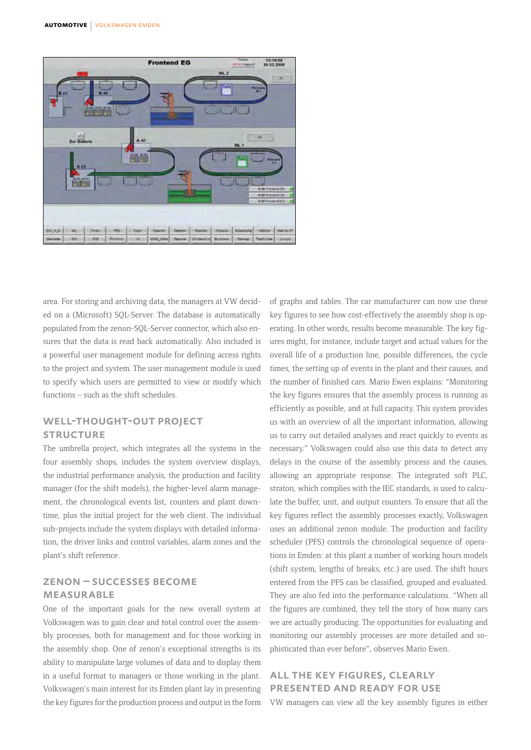

area. For storing and archiving data, the managers at VW decided on a (Microsoft) SQL-Server. The database is automatically populated from the zenon-SQL-Server connector, which also ensures that the data is read back automatically. Also included is a powerful user management module for defining access rights to the project and system. The user management module is used to specify which users are permitted to view or modify which functions – such as the shift schedules.

## well-thought-out project **STRUCTURE**

The umbrella project, which integrates all the systems in the four assembly shops, includes the system overview displays, the industrial performance analysis, the production and facility manager (for the shift models), the higher-level alarm management, the chronological events list, counters and plant downtime, plus the initial project for the web client. The individual sub-projects include the system displays with detailed information, the driver links and control variables, alarm zones and the plant's shift reference.

## zenon – successes become **MEASURABLE**

One of the important goals for the new overall system at Volkswagen was to gain clear and total control over the assembly processes, both for management and for those working in the assembly shop. One of zenon's exceptional strengths is its ability to manipulate large volumes of data and to display them in a useful format to managers or those working in the plant. Volkswagen's main interest for its Emden plant lay in presenting the key figures for the production process and output in the form of graphs and tables. The car manufacturer can now use these key figures to see how cost-effectively the assembly shop is operating. In other words, results become measurable. The key figures might, for instance, include target and actual values for the overall life of a production line, possible differences, the cycle times, the setting up of events in the plant and their causes, and the number of finished cars. Mario Ewen explains: "Monitoring the key figures ensures that the assembly process is running as efficiently as possible, and at full capacity. This system provides us with an overview of all the important information, allowing us to carry out detailed analyses and react quickly to events as necessary." Volkswagen could also use this data to detect any delays in the course of the assembly process and the causes, allowing an appropriate response. The integrated soft PLC, straton, which complies with the IEC standards, is used to calculate the buffer, unit, and output counters. To ensure that all the key figures reflect the assembly processes exactly, Volkswagen uses an additional zenon module. The production and facility scheduler (PFS) controls the chronological sequence of operations in Emden: at this plant a number of working hours models (shift system, lengths of breaks, etc.) are used. The shift hours entered from the PFS can be classified, grouped and evaluated. They are also fed into the performance calculations. "When all the figures are combined, they tell the story of how many cars we are actually producing. The opportunities for evaluating and monitoring our assembly processes are more detailed and sophisticated than ever before", observes Mario Ewen.

# all the key figures, clearly presented and ready for use

VW managers can view all the key assembly figures in either